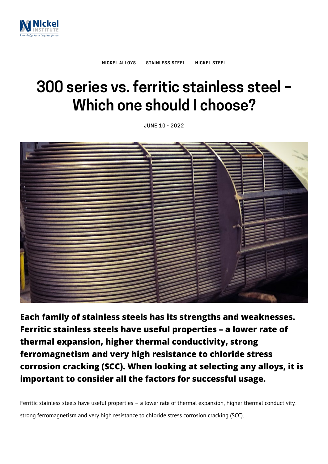

# **300 series vs. ferritic stainless steel – Which one should I choose?**

JUNE 10 - 2022



**Each family of stainless steels has its strengths and weaknesses. Ferritic stainless steels have useful properties – a lower rate of thermal expansion, higher thermal conductivity, strong ferromagnetism and very high resistance to chloride stress corrosion cracking (SCC). When looking at selecting any alloys, it is important to consider all the factors for successful usage.**

Ferritic stainless steels have useful properties – a lower rate of thermal expansion, higher thermal conductivity, strong ferromagnetism and very high resistance to chloride stress corrosion cracking (SCC).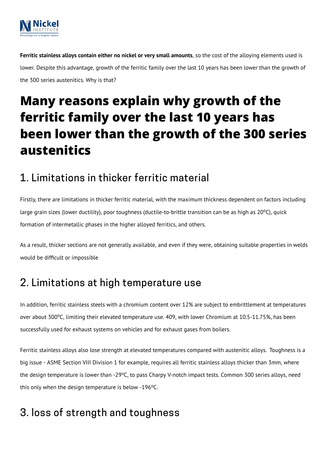

**Ferritic stainless alloys contain either no nickel or very small amounts**, so the cost of the alloying elements used is lower. Despite this advantage, growth of the ferritic family over the last 10 years has been lower than the growth of the 300 series austenitics. Why is that?

# **Many reasons explain why growth of the ferritic family over the last 10 years has been lower than the growth of the 300 series austenitics**

### 1. Limitations in thicker ferritic material

Firstly, there are limitations in thicker ferritic material, with the maximum thickness dependent on factors including large grain sizes (lower ductility), poor toughness (ductile-to-brittle transition can be as high as 20°C), quick formation of intermetallic phases in the higher alloyed ferritics, and others.

As a result, thicker sections are not generally available, and even if they were, obtaining suitable properties in welds would be difficult or impossible

## 2. Limitations at high temperature use

In addition, ferritic stainless steels with a chromium content over 12% are subject to embrittlement at temperatures over about 300°C, limiting their elevated temperature use. 409, with lower Chromium at 10.5-11.75%, has been successfully used for exhaust systems on vehicles and for exhaust gases from boilers.

Ferritic stainless alloys also lose strength at elevated temperatures compared with austenitic alloys. Toughness is a big issue - ASME Section VIII Division 1 for example, requires all ferritic stainless alloys thicker than 3mm, where the design temperature is lower than -29°C, to pass Charpy V-notch impact tests. Common 300 series alloys, need this only when the design temperature is below -196°C.

## 3. loss of strength and toughness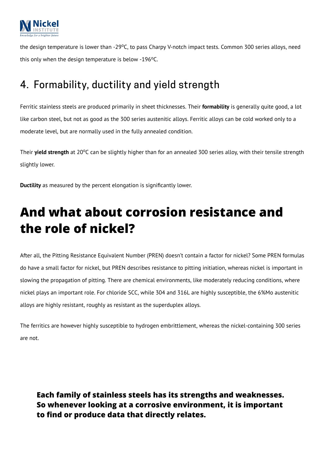

the design temperature is lower than -29°C, to pass Charpy V-notch impact tests. Common 300 series alloys, need this only when the design temperature is below -196°C.

## 4. Formability, ductility and yield strength

Ferritic stainless steels are produced primarily in sheet thicknesses. Their **formability** is generally quite good, a lot like carbon steel, but not as good as the 300 series austenitic alloys. Ferritic alloys can be cold worked only to a moderate level, but are normally used in the fully annealed condition.

Their yield strength at 20°C can be slightly higher than for an annealed 300 series alloy, with their tensile strength slightly lower.

**Ductility** as measured by the percent elongation is significantly lower.

# **And what about corrosion resistance and the role of nickel?**

After all, the Pitting Resistance Equivalent Number (PREN) doesn't contain a factor for nickel? Some PREN formulas do have a small factor for nickel, but PREN describes resistance to pitting initiation, whereas nickel is important in slowing the propagation of pitting. There are chemical environments, like moderately reducing conditions, where nickel plays an important role. For chloride SCC, while 304 and 316L are highly susceptible, the 6%Mo austenitic alloys are highly resistant, roughly as resistant as the superduplex alloys.

The ferritics are however highly susceptible to hydrogen embrittlement, whereas the nickel-containing 300 series are not.

**Each family of stainless steels has its strengths and weaknesses. So whenever looking at a corrosive environment, it is important to find or produce data that directly relates.**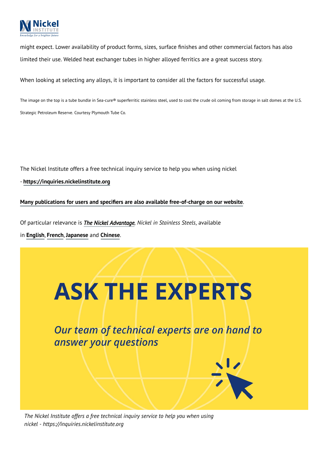

might expect. Lower availability of product forms, sizes, surface finishes and other commercial factors has also limited their use. Welded heat exchanger tubes in higher alloyed ferritics are a great success story.

When looking at selecting any alloys, it is important to consider all the factors for successful usage.

The image on the top is a tube bundle in Sea-cure® superferritic stainless steel, used to cool the crude oil coming from storage in salt domes at the U.S. Strategic Petroleum Reserve. Courtesy Plymouth Tube Co.

The Nickel Institute offers a free technical inquiry service to help you when using nickel

- **[https://inquiries.nickelinstitute.org](https://inquiries.nickelinstitute.org/)**

#### **Many publications for users and specifiers are also available [free-of-charge](https://nickelinstitute.org/en/library/) on our website**.

Of particular relevance is *The Nickel [Advantage](https://nickelinstitute.org/en/about-nickel-and-its-applications/stainless-steel/the-nickel-advantage/), Nickel in Stainless Steels*, available

in **[English](https://nickelinstitute.org/media/2309/niadv-en.pdf)**, **[French](https://nickelinstitute.org/media/2310/niadv-fr.pdf)**, **[Japanese](https://nickelinstitute.org/media/2311/niadv-jp.pdf)** and **[Chinese](https://nickelinstitute.org/media/2308/niadv-cn.pdf)**.



Our team of technical experts are on hand to answer your questions

*The Nickel Institute offers a free technical inquiry service to help you when using nickel - https://inquiries.nickelinstitute.org*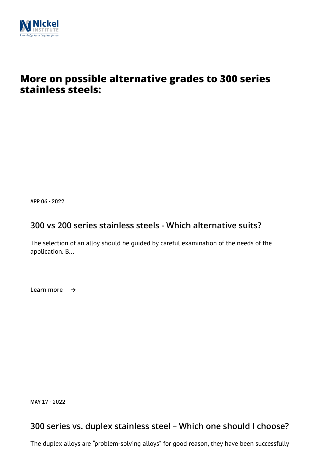

### **More on possible alternative grades to 300 series stainless steels:**

APR 06 - 2022

### **[300 vs 200 series stainless steels - Which alternative suits?](https://nickelinstitute.org/en/blog/2022/april/300-vs-200-series-stainless-steels-which-alternative-suits/)**

The selection of an alloy should be guided by careful examination of the needs of the application. B...

**Learn more**

MAY 17 - 2022

### **[300 series vs. duplex stainless steel – Which one should I choose?](https://nickelinstitute.org/en/blog/2022/may/300-series-vs-duplex-stainless-steel-which-one-should-i-choose/)**

The duplex alloys are "problem-solving alloys" for good reason, they have been successfully